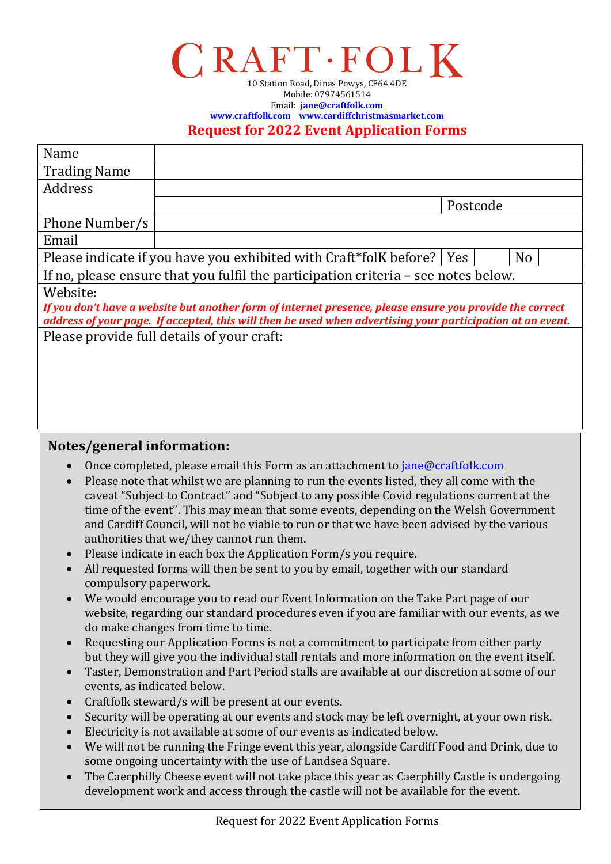## $\Gamma$ RAFT·FOLK 10 Station Road, Dinas Powys, CF64 4DE

Mobile: 07974561514 Email: **[jane@craftfolk.com](mailto:jane@craftfolk.com) [www.craftfolk.com](http://www.craftfolk.com/) [www.cardiffchristmasmarket.com](http://www.cardiffchristmasmarket.com/) Request for 2022 Event Application Forms**

| Name                                                                                                                                                                                                                   |                                                                                    |          |                |  |
|------------------------------------------------------------------------------------------------------------------------------------------------------------------------------------------------------------------------|------------------------------------------------------------------------------------|----------|----------------|--|
| <b>Trading Name</b>                                                                                                                                                                                                    |                                                                                    |          |                |  |
| Address                                                                                                                                                                                                                |                                                                                    |          |                |  |
|                                                                                                                                                                                                                        |                                                                                    | Postcode |                |  |
| Phone Number/s                                                                                                                                                                                                         |                                                                                    |          |                |  |
| Email                                                                                                                                                                                                                  |                                                                                    |          |                |  |
|                                                                                                                                                                                                                        | Please indicate if you have you exhibited with Craft*folK before?   Yes            |          | N <sub>o</sub> |  |
|                                                                                                                                                                                                                        | If no, please ensure that you fulfil the participation criteria – see notes below. |          |                |  |
| Website:                                                                                                                                                                                                               |                                                                                    |          |                |  |
| If you don't have a website but another form of internet presence, please ensure you provide the correct<br>address of your page. If accepted, this will then be used when advertising your participation at an event. |                                                                                    |          |                |  |
| Please provide full details of your craft:                                                                                                                                                                             |                                                                                    |          |                |  |
|                                                                                                                                                                                                                        |                                                                                    |          |                |  |
|                                                                                                                                                                                                                        |                                                                                    |          |                |  |
|                                                                                                                                                                                                                        |                                                                                    |          |                |  |
|                                                                                                                                                                                                                        |                                                                                    |          |                |  |
|                                                                                                                                                                                                                        |                                                                                    |          |                |  |

## **Notes/general information:**

- Once completed, please email this Form as an attachment to [jane@craftfolk.com](mailto:jane@craftfolk.com)
- Please note that whilst we are planning to run the events listed, they all come with the caveat "Subject to Contract" and "Subject to any possible Covid regulations current at the time of the event". This may mean that some events, depending on the Welsh Government and Cardiff Council, will not be viable to run or that we have been advised by the various authorities that we/they cannot run them.
- Please indicate in each box the Application Form/s you require.
- All requested forms will then be sent to you by email, together with our standard compulsory paperwork.
- We would encourage you to read our Event Information on the Take Part page of our website, regarding our standard procedures even if you are familiar with our events, as we do make changes from time to time.
- Requesting our Application Forms is not a commitment to participate from either party but they will give you the individual stall rentals and more information on the event itself.
- Taster, Demonstration and Part Period stalls are available at our discretion at some of our events, as indicated below.
- Craftfolk steward/s will be present at our events.
- Security will be operating at our events and stock may be left overnight, at your own risk.
- Electricity is not available at some of our events as indicated below.
- We will not be running the Fringe event this year, alongside Cardiff Food and Drink, due to some ongoing uncertainty with the use of Landsea Square.
- The Caerphilly Cheese event will not take place this year as Caerphilly Castle is undergoing development work and access through the castle will not be available for the event.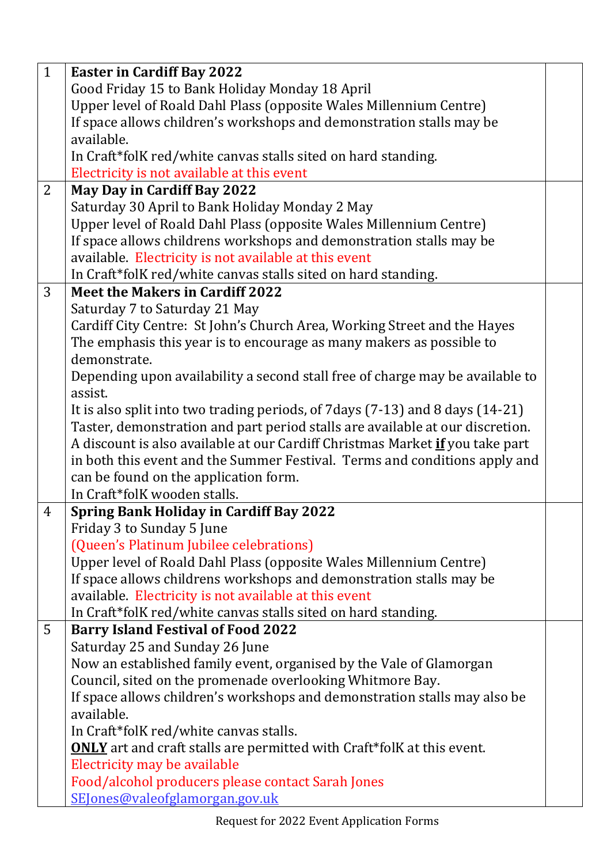| $\mathbf{1}$   | <b>Easter in Cardiff Bay 2022</b>                                                    |  |
|----------------|--------------------------------------------------------------------------------------|--|
|                | Good Friday 15 to Bank Holiday Monday 18 April                                       |  |
|                | Upper level of Roald Dahl Plass (opposite Wales Millennium Centre)                   |  |
|                | If space allows children's workshops and demonstration stalls may be                 |  |
|                | available.                                                                           |  |
|                | In Craft*folK red/white canvas stalls sited on hard standing.                        |  |
|                | Electricity is not available at this event                                           |  |
| $\overline{2}$ | <b>May Day in Cardiff Bay 2022</b>                                                   |  |
|                | Saturday 30 April to Bank Holiday Monday 2 May                                       |  |
|                | Upper level of Roald Dahl Plass (opposite Wales Millennium Centre)                   |  |
|                | If space allows childrens workshops and demonstration stalls may be                  |  |
|                | available. Electricity is not available at this event                                |  |
|                | In Craft*folK red/white canvas stalls sited on hard standing.                        |  |
| 3              | <b>Meet the Makers in Cardiff 2022</b>                                               |  |
|                | Saturday 7 to Saturday 21 May                                                        |  |
|                | Cardiff City Centre: St John's Church Area, Working Street and the Hayes             |  |
|                | The emphasis this year is to encourage as many makers as possible to                 |  |
|                | demonstrate.                                                                         |  |
|                | Depending upon availability a second stall free of charge may be available to        |  |
|                | assist.                                                                              |  |
|                | It is also split into two trading periods, of 7 days (7-13) and 8 days (14-21)       |  |
|                | Taster, demonstration and part period stalls are available at our discretion.        |  |
|                | A discount is also available at our Cardiff Christmas Market <i>if</i> you take part |  |
|                | in both this event and the Summer Festival. Terms and conditions apply and           |  |
|                | can be found on the application form.                                                |  |
|                | In Craft*folK wooden stalls.                                                         |  |
| $\overline{4}$ | <b>Spring Bank Holiday in Cardiff Bay 2022</b>                                       |  |
|                | Friday 3 to Sunday 5 June                                                            |  |
|                | (Queen's Platinum Jubilee celebrations)                                              |  |
|                | Upper level of Roald Dahl Plass (opposite Wales Millennium Centre)                   |  |
|                | If space allows childrens workshops and demonstration stalls may be                  |  |
|                | available. Electricity is not available at this event                                |  |
|                | In Craft*folK red/white canvas stalls sited on hard standing.                        |  |
| 5              | <b>Barry Island Festival of Food 2022</b>                                            |  |
|                | Saturday 25 and Sunday 26 June                                                       |  |
|                | Now an established family event, organised by the Vale of Glamorgan                  |  |
|                | Council, sited on the promenade overlooking Whitmore Bay.                            |  |
|                | If space allows children's workshops and demonstration stalls may also be            |  |
|                | available.                                                                           |  |
|                | In Craft*folK red/white canvas stalls.                                               |  |
|                | <b>ONLY</b> art and craft stalls are permitted with Craft*folK at this event.        |  |
|                | Electricity may be available                                                         |  |
|                | Food/alcohol producers please contact Sarah Jones                                    |  |
|                | SEJones@valeofglamorgan.gov.uk                                                       |  |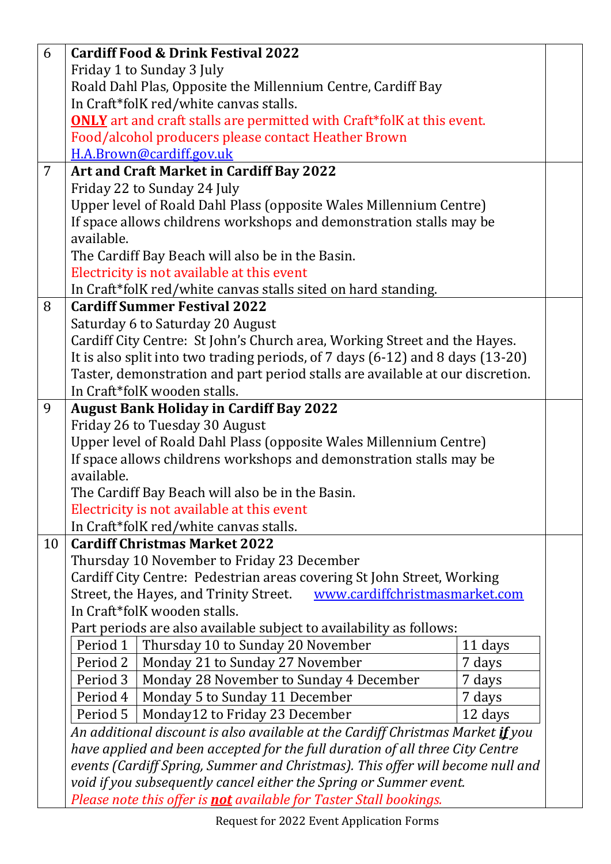| 6              |                                                                                                | <b>Cardiff Food &amp; Drink Festival 2022</b>                                          |         |  |
|----------------|------------------------------------------------------------------------------------------------|----------------------------------------------------------------------------------------|---------|--|
|                |                                                                                                | Friday 1 to Sunday 3 July                                                              |         |  |
|                |                                                                                                | Roald Dahl Plas, Opposite the Millennium Centre, Cardiff Bay                           |         |  |
|                |                                                                                                | In Craft*folK red/white canvas stalls.                                                 |         |  |
|                |                                                                                                | <b>ONLY</b> art and craft stalls are permitted with Craft*folK at this event.          |         |  |
|                |                                                                                                | Food/alcohol producers please contact Heather Brown                                    |         |  |
|                |                                                                                                | H.A.Brown@cardiff.gov.uk                                                               |         |  |
| $\overline{7}$ |                                                                                                | <b>Art and Craft Market in Cardiff Bay 2022</b>                                        |         |  |
|                |                                                                                                | Friday 22 to Sunday 24 July                                                            |         |  |
|                |                                                                                                | Upper level of Roald Dahl Plass (opposite Wales Millennium Centre)                     |         |  |
|                |                                                                                                | If space allows childrens workshops and demonstration stalls may be                    |         |  |
|                | available.                                                                                     |                                                                                        |         |  |
|                | The Cardiff Bay Beach will also be in the Basin.                                               |                                                                                        |         |  |
|                | Electricity is not available at this event                                                     |                                                                                        |         |  |
|                |                                                                                                | In Craft*folK red/white canvas stalls sited on hard standing.                          |         |  |
| 8              |                                                                                                | <b>Cardiff Summer Festival 2022</b>                                                    |         |  |
|                |                                                                                                | Saturday 6 to Saturday 20 August                                                       |         |  |
|                |                                                                                                | Cardiff City Centre: St John's Church area, Working Street and the Hayes.              |         |  |
|                |                                                                                                | It is also split into two trading periods, of 7 days (6-12) and 8 days (13-20)         |         |  |
|                |                                                                                                | Taster, demonstration and part period stalls are available at our discretion.          |         |  |
|                |                                                                                                | In Craft*folK wooden stalls.                                                           |         |  |
| 9              |                                                                                                | <b>August Bank Holiday in Cardiff Bay 2022</b>                                         |         |  |
|                |                                                                                                | Friday 26 to Tuesday 30 August                                                         |         |  |
|                |                                                                                                | Upper level of Roald Dahl Plass (opposite Wales Millennium Centre)                     |         |  |
|                | available.                                                                                     | If space allows childrens workshops and demonstration stalls may be                    |         |  |
|                |                                                                                                |                                                                                        |         |  |
|                | The Cardiff Bay Beach will also be in the Basin.<br>Electricity is not available at this event |                                                                                        |         |  |
|                |                                                                                                | In Craft*folK red/white canvas stalls.                                                 |         |  |
| 10             |                                                                                                | <b>Cardiff Christmas Market 2022</b>                                                   |         |  |
|                |                                                                                                | Thursday 10 November to Friday 23 December                                             |         |  |
|                |                                                                                                | Cardiff City Centre: Pedestrian areas covering St John Street, Working                 |         |  |
|                |                                                                                                | Street, the Hayes, and Trinity Street.<br>www.cardiffchristmasmarket.com               |         |  |
|                |                                                                                                | In Craft*folK wooden stalls.                                                           |         |  |
|                |                                                                                                | Part periods are also available subject to availability as follows:                    |         |  |
|                | Period 1                                                                                       | Thursday 10 to Sunday 20 November                                                      | 11 days |  |
|                | Period 2                                                                                       | Monday 21 to Sunday 27 November                                                        | 7 days  |  |
|                | Period 3                                                                                       | Monday 28 November to Sunday 4 December                                                | 7 days  |  |
|                | Period 4                                                                                       | Monday 5 to Sunday 11 December                                                         | 7 days  |  |
|                | Period 5                                                                                       | Monday12 to Friday 23 December                                                         | 12 days |  |
|                |                                                                                                | An additional discount is also available at the Cardiff Christmas Market <u>if</u> you |         |  |
|                |                                                                                                | have applied and been accepted for the full duration of all three City Centre          |         |  |
|                | events (Cardiff Spring, Summer and Christmas). This offer will become null and                 |                                                                                        |         |  |
|                | void if you subsequently cancel either the Spring or Summer event.                             |                                                                                        |         |  |
|                | Please note this offer is <b>not</b> available for Taster Stall bookings.                      |                                                                                        |         |  |